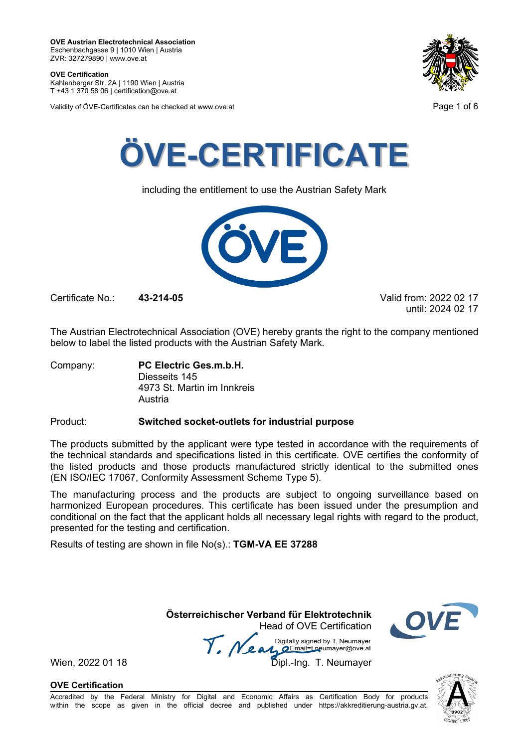**OVE Certification** Kahlenberger Str. 2A | 1190 Wien | Austria

T +43 1 370 58 06 | certification@ove.at

Validity of ÖVE-Certificates can be checked at www.ove.at **Page 1 of 6** 





including the entitlement to use the Austrian Safety Mark



Certificate No.: **43-214-05** Valid from: 2022 02 17

until: 2024 02 17

The Austrian Electrotechnical Association (OVE) hereby grants the right to the company mentioned below to label the listed products with the Austrian Safety Mark.

Company: **PC Electric Ges.m.b.H.** Diesseits 145 4973 St. Martin im Innkreis Austria

### Product: **Switched socket-outlets for industrial purpose**

The products submitted by the applicant were type tested in accordance with the requirements of the technical standards and specifications listed in this certificate. OVE certifies the conformity of the listed products and those products manufactured strictly identical to the submitted ones (EN ISO/IEC 17067, Conformity Assessment Scheme Type 5).

The manufacturing process and the products are subject to ongoing surveillance based on harmonized European procedures. This certificate has been issued under the presumption and conditional on the fact that the applicant holds all necessary legal rights with regard to the product, presented for the testing and certification.

Results of testing are shown in file No(s).: **TGM-VA EE 37288**

 **Österreichischer Verband für Elektrotechnik** Head of OVE Certification

Wien, 2022 01 18 Mean Manus Signeu by Liveumayer<br>Wien, 2022 01 18 Dipl.-Ing. T. Neumayer



**OVE Certification**

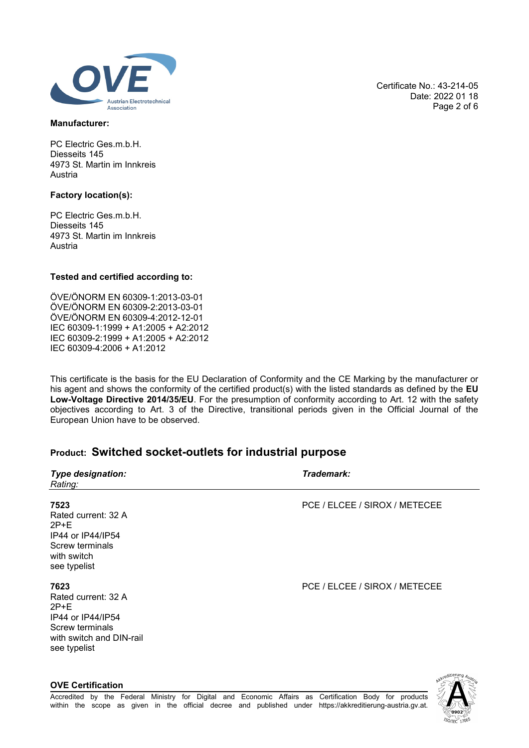

### **Manufacturer:**

PC Electric Ges.m.b.H. Diesseits 145 4973 St. Martin im Innkreis Austria

### **Factory location(s):**

**OVE Certification**

PC Electric Ges.m.b.H. Diesseits 145 4973 St. Martin im Innkreis Austria

### **Tested and certified according to:**

ÖVE/ÖNORM EN 60309-1:2013-03-01 ÖVE/ÖNORM EN 60309-2:2013-03-01 ÖVE/ÖNORM EN 60309-4:2012-12-01 IEC 60309-1:1999 + A1:2005 + A2:2012 IEC 60309-2:1999 + A1:2005 + A2:2012 IEC 60309-4:2006 + A1:2012

This certificate is the basis for the EU Declaration of Conformity and the CE Marking by the manufacturer or his agent and shows the conformity of the certified product(s) with the listed standards as defined by the **EU Low-Voltage Directive 2014/35/EU**. For the presumption of conformity according to Art. 12 with the safety objectives according to Art. 3 of the Directive, transitional periods given in the Official Journal of the European Union have to be observed.

## **Product: Switched socket-outlets for industrial purpose**

| <b>Type designation:</b><br>Rating:                                                                                       | Trademark:                    |
|---------------------------------------------------------------------------------------------------------------------------|-------------------------------|
| 7523<br>Rated current: 32 A<br>$2P+E$<br>IP44 or IP44/IP54<br>Screw terminals<br>with switch<br>see typelist              | PCE / ELCEE / SIROX / METECEE |
| 7623<br>Rated current: 32 A<br>$2P+E$<br>IP44 or IP44/IP54<br>Screw terminals<br>with switch and DIN-rail<br>see typelist | PCE / ELCEE / SIROX / METECEE |

Certificate No.: 43-214-05 Date: 2022 01 18 Page 2 of 6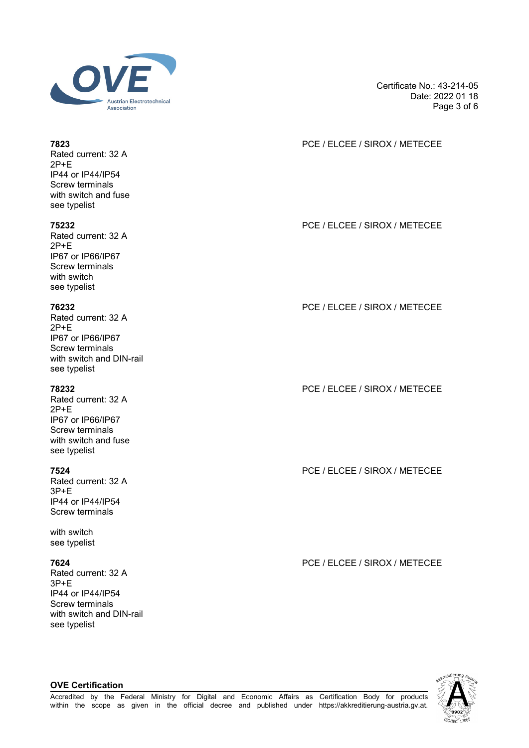

Certificate No.: 43-214-05 Date: 2022 01 18 Page 3 of 6

## **7823** PCE / ELCEE / SIROX / METECEE

**75232** PCE / ELCEE / SIROX / METECEE

**76232** PCE / ELCEE / SIROX / METECEE

**78232** PCE / ELCEE / SIROX / METECEE

**7524** PCE / ELCEE / SIROX / METECEE

**7624** PCE / ELCEE / SIROX / METECEE



Rated current: 32 A 2P+E IP44 or IP44/IP54 Screw terminals with switch and fuse see typelist

Rated current: 32 A 2P+E IP67 or IP66/IP67 Screw terminals with switch see typelist

Rated current: 32 A 2P+E IP67 or IP66/IP67 Screw terminals with switch and DIN-rail see typelist

Rated current: 32 A 2P+E IP67 or IP66/IP67 Screw terminals with switch and fuse see typelist

Rated current: 32 A 3P+E IP44 or IP44/IP54 Screw terminals

with switch see typelist

Rated current: 32 A 3P+E IP44 or IP44/IP54 Screw terminals with switch and DIN-rail see typelist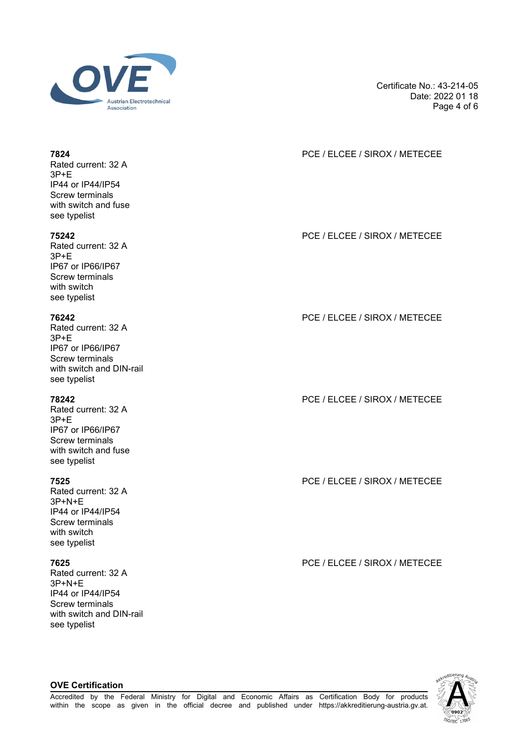

Certificate No.: 43-214-05 Date: 2022 01 18 Page 4 of 6

## **7824** PCE / ELCEE / SIROX / METECEE

**75242** PCE / ELCEE / SIROX / METECEE

**76242** PCE / ELCEE / SIROX / METECEE

**78242** PCE / ELCEE / SIROX / METECEE

**7525** PCE / ELCEE / SIROX / METECEE

**7625** PCE / ELCEE / SIROX / METECEE



# Rated current: 32 A 3P+E

IP44 or IP44/IP54 Screw terminals with switch and fuse see typelist

Rated current: 32 A 3P+E IP67 or IP66/IP67 Screw terminals with switch see typelist

Rated current: 32 A  $3P + F$ IP67 or IP66/IP67 Screw terminals with switch and DIN-rail see typelist

Rated current: 32 A 3P+E IP67 or IP66/IP67 Screw terminals with switch and fuse see typelist

Rated current: 32 A 3P+N+E IP44 or IP44/IP54 Screw terminals with switch see typelist

Rated current: 32 A 3P+N+E IP44 or IP44/IP54 Screw terminals with switch and DIN-rail see typelist

**OVE Certification**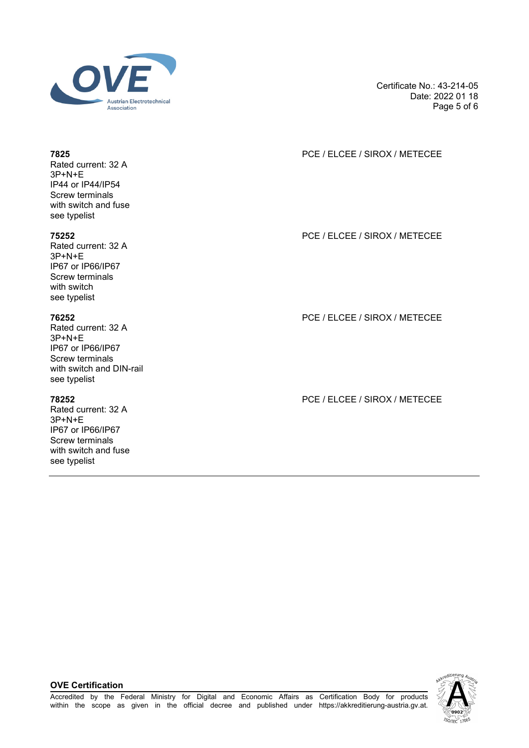

Certificate No.: 43-214-05 Date: 2022 01 18 Page 5 of 6

## **7825** PCE / ELCEE / SIROX / METECEE

**75252** PCE / ELCEE / SIROX / METECEE

**76252** PCE / ELCEE / SIROX / METECEE

**78252** PCE / ELCEE / SIROX / METECEE

Rated current: 32 A 3P+N+E IP44 or IP44/IP54 Screw terminals with switch and fuse see typelist

Rated current: 32 A 3P+N+E IP67 or IP66/IP67 Screw terminals with switch see typelist

Rated current: 32 A  $3P+N+F$ IP67 or IP66/IP67 Screw terminals with switch and DIN-rail see typelist

Rated current: 32 A 3P+N+E IP67 or IP66/IP67 Screw terminals with switch and fuse see typelist

### **OVE Certification**